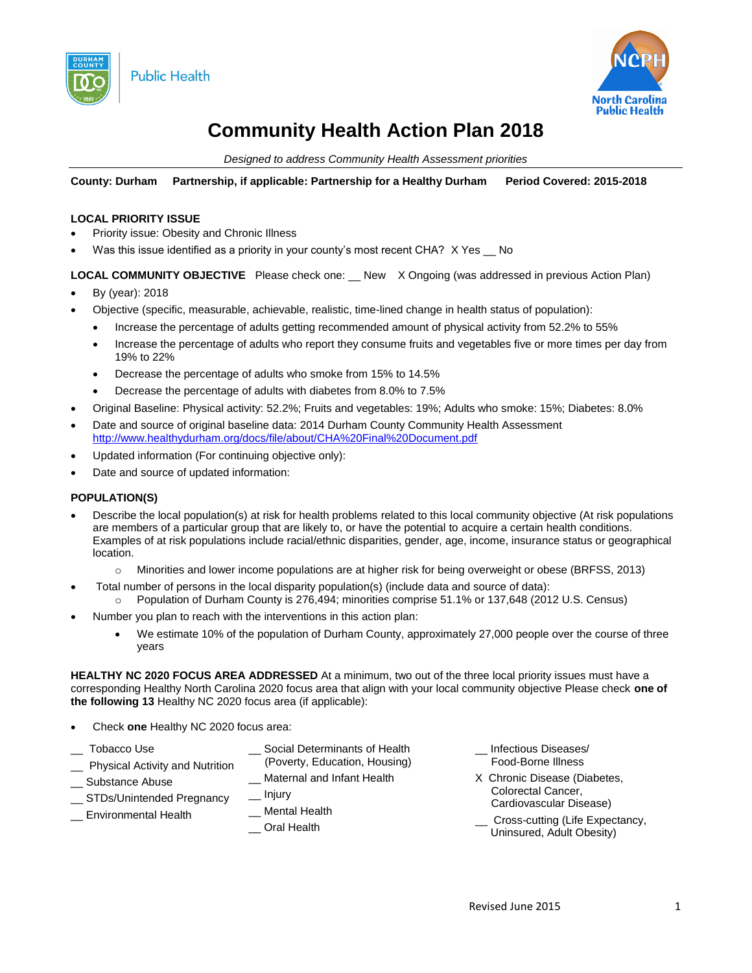



# **Community Health Action Plan 2018**

*Designed to address Community Health Assessment priorities*

**County: Durham Partnership, if applicable: Partnership for a Healthy Durham Period Covered: 2015-2018**

#### **LOCAL PRIORITY ISSUE**

- Priority issue: Obesity and Chronic Illness
- Was this issue identified as a priority in your county's most recent CHA? X Yes 
olloon-

**LOCAL COMMUNITY OBJECTIVE** Please check one: \_\_ New X Ongoing (was addressed in previous Action Plan)

- By (year): 2018
- Objective (specific, measurable, achievable, realistic, time-lined change in health status of population):
	- Increase the percentage of adults getting recommended amount of physical activity from 52.2% to 55%
	- Increase the percentage of adults who report they consume fruits and vegetables five or more times per day from 19% to 22%
	- Decrease the percentage of adults who smoke from 15% to 14.5%
	- Decrease the percentage of adults with diabetes from 8.0% to 7.5%
- Original Baseline: Physical activity: 52.2%; Fruits and vegetables: 19%; Adults who smoke: 15%; Diabetes: 8.0%
- Date and source of original baseline data: 2014 Durham County Community Health Assessment <http://www.healthydurham.org/docs/file/about/CHA%20Final%20Document.pdf>
- Updated information (For continuing objective only):
- Date and source of updated information:

## **POPULATION(S)**

- Describe the local population(s) at risk for health problems related to this local community objective (At risk populations are members of a particular group that are likely to, or have the potential to acquire a certain health conditions. Examples of at risk populations include racial/ethnic disparities, gender, age, income, insurance status or geographical location.
	- o Minorities and lower income populations are at higher risk for being overweight or obese (BRFSS, 2013)
- Total number of persons in the local disparity population(s) (include data and source of data): o Population of Durham County is 276,494; minorities comprise 51.1% or 137,648 (2012 U.S. Census)
	- Number you plan to reach with the interventions in this action plan:
		- We estimate 10% of the population of Durham County, approximately 27,000 people over the course of three years

**HEALTHY NC 2020 FOCUS AREA ADDRESSED** At a minimum, two out of the three local priority issues must have a corresponding Healthy North Carolina 2020 focus area that align with your local community objective Please check **one of the following 13** Healthy NC 2020 focus area (if applicable):

Check **one** Healthy NC 2020 focus area:

| Tobacco Use<br><b>Physical Activity and Nutrition</b>                | Social Determinants of Health<br>(Poverty, Education, Housing)          | Infectious Diseases/<br>Food-Borne Illness                                                                                                       |
|----------------------------------------------------------------------|-------------------------------------------------------------------------|--------------------------------------------------------------------------------------------------------------------------------------------------|
| Substance Abuse<br>STDs/Unintended Pregnancy<br>Environmental Health | Maternal and Infant Health<br>__ Injury<br>Mental Health<br>Oral Health | X Chronic Disease (Diabetes,<br>Colorectal Cancer,<br>Cardiovascular Disease)<br>__ Cross-cutting (Life Expectancy,<br>Uninsured, Adult Obesity) |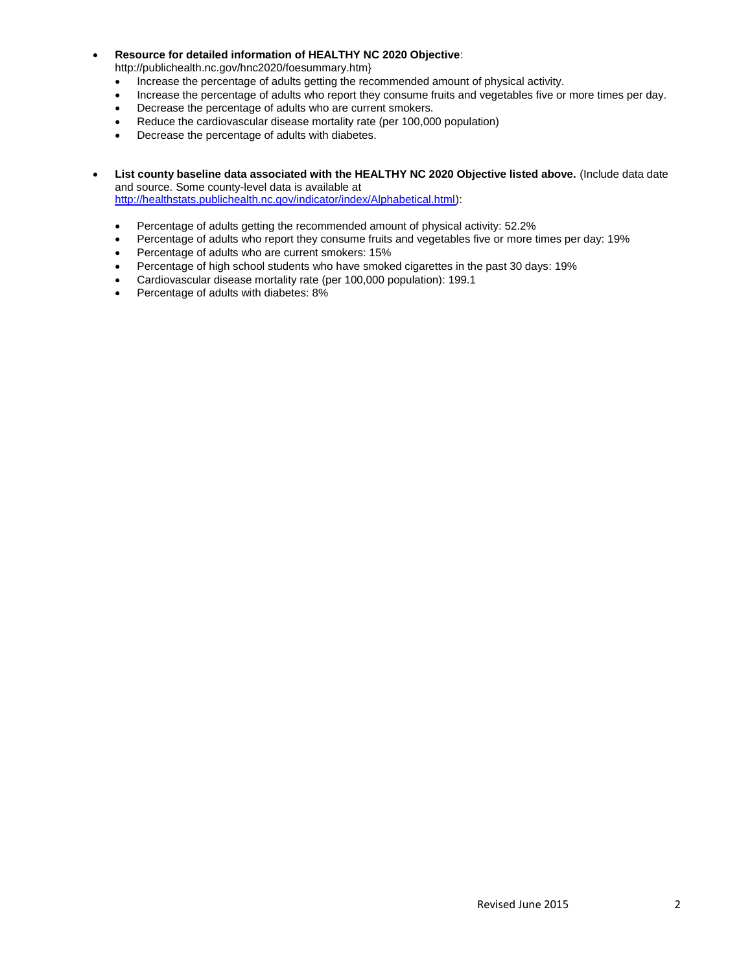- **Resource for detailed information of HEALTHY NC 2020 Objective**: http://publichealth.nc.gov/hnc2020/foesummary.htm}
	- Increase the percentage of adults getting the recommended amount of physical activity.
	- Increase the percentage of adults who report they consume fruits and vegetables five or more times per day.
	- Decrease the percentage of adults who are current smokers.
	- Reduce the cardiovascular disease mortality rate (per 100,000 population)
	- Decrease the percentage of adults with diabetes.
- **List county baseline data associated with the HEALTHY NC 2020 Objective listed above.** (Include data date and source. Some county-level data is available at [http://healthstats.publichealth.nc.gov/indicator/index/Alphabetical.html\)](http://healthstats.publichealth.nc.gov/indicator/index/Alphabetical.html):
	- Percentage of adults getting the recommended amount of physical activity: 52.2%
	- Percentage of adults who report they consume fruits and vegetables five or more times per day: 19%
	- Percentage of adults who are current smokers: 15%
	- Percentage of high school students who have smoked cigarettes in the past 30 days: 19%
	- Cardiovascular disease mortality rate (per 100,000 population): 199.1
	- Percentage of adults with diabetes: 8%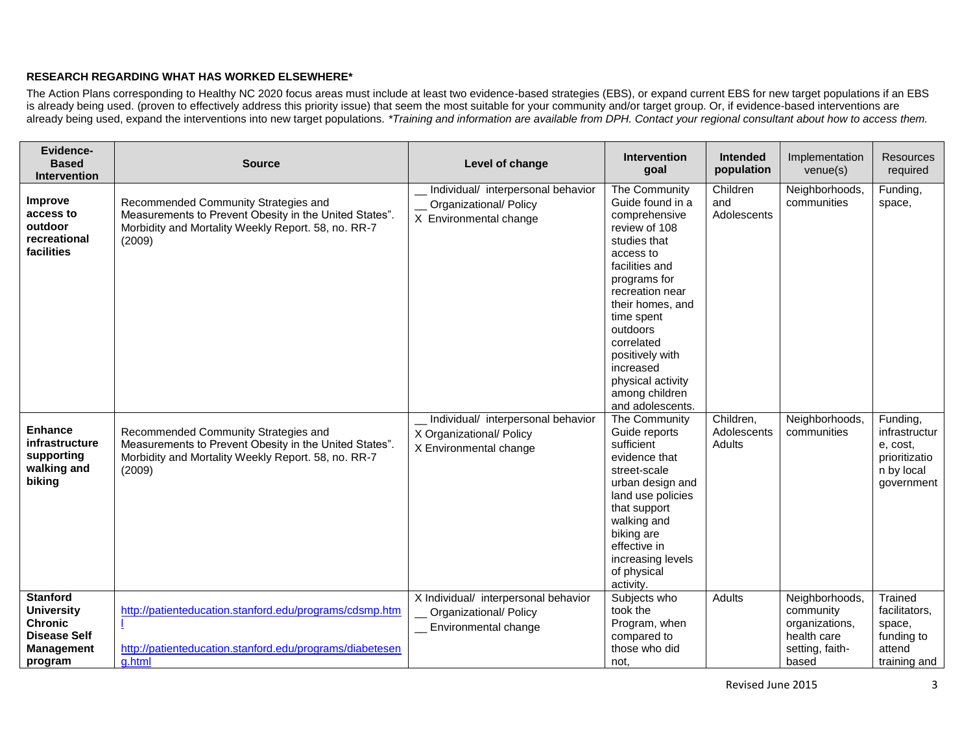#### **RESEARCH REGARDING WHAT HAS WORKED ELSEWHERE\***

The Action Plans corresponding to Healthy NC 2020 focus areas must include at least two evidence-based strategies (EBS), or expand current EBS for new target populations if an EBS is already being used. (proven to effectively address this priority issue) that seem the most suitable for your community and/or target group. Or, if evidence-based interventions are already being used, expand the interventions into new target populations. *\*Training and information are available from DPH. Contact your regional consultant about how to access them.*

| <b>Evidence-</b><br><b>Based</b><br><b>Intervention</b>                                                       | <b>Source</b>                                                                                                                                                   | Level of change                                                                               | <b>Intervention</b><br>goal                                                                                                                                                                                                                                                                                  | <b>Intended</b><br>population      | Implementation<br>$v$ enue $(s)$                                                         | <b>Resources</b><br>required                                                       |
|---------------------------------------------------------------------------------------------------------------|-----------------------------------------------------------------------------------------------------------------------------------------------------------------|-----------------------------------------------------------------------------------------------|--------------------------------------------------------------------------------------------------------------------------------------------------------------------------------------------------------------------------------------------------------------------------------------------------------------|------------------------------------|------------------------------------------------------------------------------------------|------------------------------------------------------------------------------------|
| Improve<br>access to<br>outdoor<br>recreational<br>facilities                                                 | Recommended Community Strategies and<br>Measurements to Prevent Obesity in the United States".<br>Morbidity and Mortality Weekly Report. 58, no. RR-7<br>(2009) | Individual/ interpersonal behavior<br>Organizational/ Policy<br>X Environmental change        | The Community<br>Guide found in a<br>comprehensive<br>review of 108<br>studies that<br>access to<br>facilities and<br>programs for<br>recreation near<br>their homes, and<br>time spent<br>outdoors<br>correlated<br>positively with<br>increased<br>physical activity<br>among children<br>and adolescents. | Children<br>and<br>Adolescents     | Neighborhoods,<br>communities                                                            | Funding,<br>space,                                                                 |
| <b>Enhance</b><br>infrastructure<br>supporting<br>walking and<br>biking                                       | Recommended Community Strategies and<br>Measurements to Prevent Obesity in the United States".<br>Morbidity and Mortality Weekly Report. 58, no. RR-7<br>(2009) | Individual/ interpersonal behavior<br>X Organizational/ Policy<br>X Environmental change      | The Community<br>Guide reports<br>sufficient<br>evidence that<br>street-scale<br>urban design and<br>land use policies<br>that support<br>walking and<br>biking are<br>effective in<br>increasing levels<br>of physical<br>activity.                                                                         | Children,<br>Adolescents<br>Adults | Neighborhoods,<br>communities                                                            | Funding,<br>infrastructur<br>e, cost,<br>prioritizatio<br>n by local<br>government |
| <b>Stanford</b><br><b>University</b><br><b>Chronic</b><br><b>Disease Self</b><br><b>Management</b><br>program | http://patienteducation.stanford.edu/programs/cdsmp.htm<br>http://patienteducation.stanford.edu/programs/diabetesen<br>a.html                                   | X Individual/ interpersonal behavior<br><b>Organizational/ Policy</b><br>Environmental change | Subjects who<br>took the<br>Program, when<br>compared to<br>those who did<br>not,                                                                                                                                                                                                                            | <b>Adults</b>                      | Neighborhoods,<br>community<br>organizations,<br>health care<br>setting, faith-<br>based | Trained<br>facilitators.<br>space,<br>funding to<br>attend<br>training and         |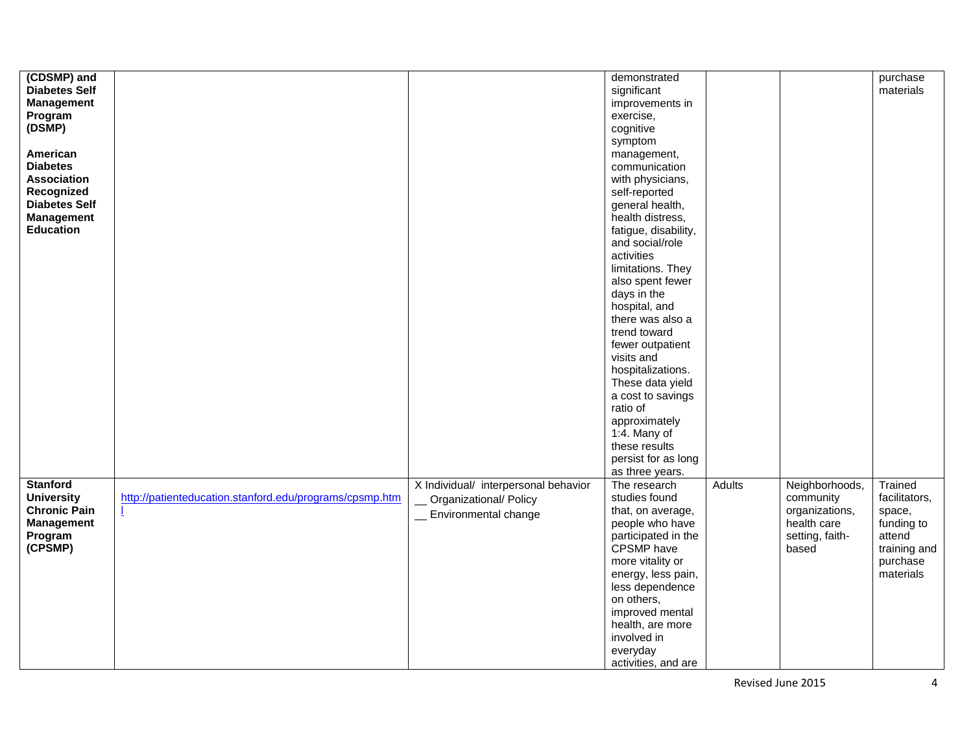| (CDSMP) and          |                                                         |                                      | demonstrated         |               |                 | purchase      |
|----------------------|---------------------------------------------------------|--------------------------------------|----------------------|---------------|-----------------|---------------|
|                      |                                                         |                                      |                      |               |                 |               |
| <b>Diabetes Self</b> |                                                         |                                      | significant          |               |                 | materials     |
| <b>Management</b>    |                                                         |                                      | improvements in      |               |                 |               |
| Program              |                                                         |                                      | exercise,            |               |                 |               |
| (DSMP)               |                                                         |                                      | cognitive            |               |                 |               |
|                      |                                                         |                                      | symptom              |               |                 |               |
| American             |                                                         |                                      | management,          |               |                 |               |
| <b>Diabetes</b>      |                                                         |                                      | communication        |               |                 |               |
| <b>Association</b>   |                                                         |                                      |                      |               |                 |               |
|                      |                                                         |                                      | with physicians,     |               |                 |               |
| Recognized           |                                                         |                                      | self-reported        |               |                 |               |
| <b>Diabetes Self</b> |                                                         |                                      | general health,      |               |                 |               |
| <b>Management</b>    |                                                         |                                      | health distress,     |               |                 |               |
| <b>Education</b>     |                                                         |                                      | fatigue, disability, |               |                 |               |
|                      |                                                         |                                      | and social/role      |               |                 |               |
|                      |                                                         |                                      | activities           |               |                 |               |
|                      |                                                         |                                      | limitations. They    |               |                 |               |
|                      |                                                         |                                      | also spent fewer     |               |                 |               |
|                      |                                                         |                                      | days in the          |               |                 |               |
|                      |                                                         |                                      | hospital, and        |               |                 |               |
|                      |                                                         |                                      |                      |               |                 |               |
|                      |                                                         |                                      | there was also a     |               |                 |               |
|                      |                                                         |                                      | trend toward         |               |                 |               |
|                      |                                                         |                                      | fewer outpatient     |               |                 |               |
|                      |                                                         |                                      | visits and           |               |                 |               |
|                      |                                                         |                                      | hospitalizations.    |               |                 |               |
|                      |                                                         |                                      | These data yield     |               |                 |               |
|                      |                                                         |                                      | a cost to savings    |               |                 |               |
|                      |                                                         |                                      | ratio of             |               |                 |               |
|                      |                                                         |                                      | approximately        |               |                 |               |
|                      |                                                         |                                      | $1:4.$ Many of       |               |                 |               |
|                      |                                                         |                                      |                      |               |                 |               |
|                      |                                                         |                                      | these results        |               |                 |               |
|                      |                                                         |                                      | persist for as long  |               |                 |               |
|                      |                                                         |                                      | as three years.      |               |                 |               |
| <b>Stanford</b>      |                                                         | X Individual/ interpersonal behavior | The research         | <b>Adults</b> | Neighborhoods,  | Trained       |
| <b>University</b>    | http://patienteducation.stanford.edu/programs/cpsmp.htm | Organizational/ Policy               | studies found        |               | community       | facilitators, |
| <b>Chronic Pain</b>  |                                                         | __ Environmental change              | that, on average,    |               | organizations,  | space,        |
| <b>Management</b>    |                                                         |                                      | people who have      |               | health care     | funding to    |
| Program              |                                                         |                                      | participated in the  |               | setting, faith- | attend        |
| (CPSMP)              |                                                         |                                      | CPSMP have           |               | based           | training and  |
|                      |                                                         |                                      | more vitality or     |               |                 | purchase      |
|                      |                                                         |                                      | energy, less pain,   |               |                 | materials     |
|                      |                                                         |                                      |                      |               |                 |               |
|                      |                                                         |                                      | less dependence      |               |                 |               |
|                      |                                                         |                                      | on others,           |               |                 |               |
|                      |                                                         |                                      | improved mental      |               |                 |               |
|                      |                                                         |                                      | health, are more     |               |                 |               |
|                      |                                                         |                                      |                      |               |                 |               |
|                      |                                                         |                                      | involved in          |               |                 |               |
|                      |                                                         |                                      | everyday             |               |                 |               |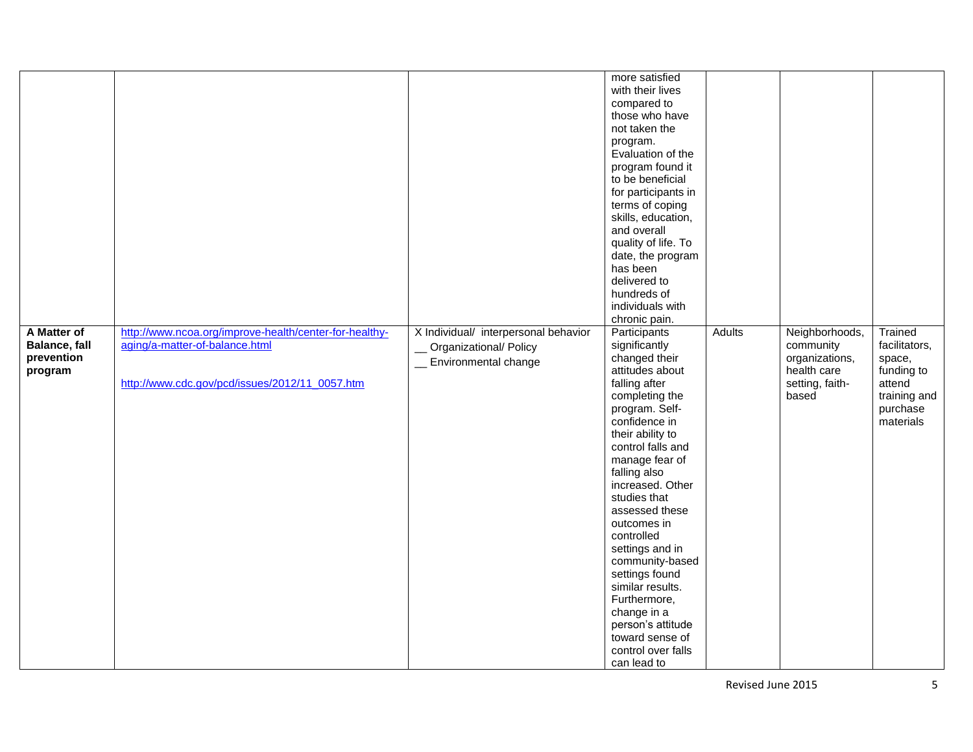|                      |                                                        |                                      | more satisfied      |               |                 |               |
|----------------------|--------------------------------------------------------|--------------------------------------|---------------------|---------------|-----------------|---------------|
|                      |                                                        |                                      | with their lives    |               |                 |               |
|                      |                                                        |                                      |                     |               |                 |               |
|                      |                                                        |                                      | compared to         |               |                 |               |
|                      |                                                        |                                      | those who have      |               |                 |               |
|                      |                                                        |                                      | not taken the       |               |                 |               |
|                      |                                                        |                                      | program.            |               |                 |               |
|                      |                                                        |                                      | Evaluation of the   |               |                 |               |
|                      |                                                        |                                      | program found it    |               |                 |               |
|                      |                                                        |                                      | to be beneficial    |               |                 |               |
|                      |                                                        |                                      | for participants in |               |                 |               |
|                      |                                                        |                                      | terms of coping     |               |                 |               |
|                      |                                                        |                                      | skills, education,  |               |                 |               |
|                      |                                                        |                                      | and overall         |               |                 |               |
|                      |                                                        |                                      | quality of life. To |               |                 |               |
|                      |                                                        |                                      | date, the program   |               |                 |               |
|                      |                                                        |                                      | has been            |               |                 |               |
|                      |                                                        |                                      | delivered to        |               |                 |               |
|                      |                                                        |                                      | hundreds of         |               |                 |               |
|                      |                                                        |                                      | individuals with    |               |                 |               |
|                      |                                                        |                                      |                     |               |                 |               |
|                      |                                                        |                                      | chronic pain.       |               |                 |               |
| A Matter of          | http://www.ncoa.org/improve-health/center-for-healthy- | X Individual/ interpersonal behavior | Participants        | <b>Adults</b> | Neighborhoods,  | Trained       |
| <b>Balance, fall</b> | aging/a-matter-of-balance.html                         | Organizational/ Policy               | significantly       |               | community       | facilitators, |
| prevention           |                                                        | __ Environmental change              | changed their       |               | organizations,  | space,        |
| program              |                                                        |                                      | attitudes about     |               | health care     | funding to    |
|                      | http://www.cdc.gov/pcd/issues/2012/11_0057.htm         |                                      | falling after       |               | setting, faith- | attend        |
|                      |                                                        |                                      | completing the      |               | based           | training and  |
|                      |                                                        |                                      | program. Self-      |               |                 | purchase      |
|                      |                                                        |                                      | confidence in       |               |                 | materials     |
|                      |                                                        |                                      | their ability to    |               |                 |               |
|                      |                                                        |                                      | control falls and   |               |                 |               |
|                      |                                                        |                                      | manage fear of      |               |                 |               |
|                      |                                                        |                                      | falling also        |               |                 |               |
|                      |                                                        |                                      | increased. Other    |               |                 |               |
|                      |                                                        |                                      | studies that        |               |                 |               |
|                      |                                                        |                                      | assessed these      |               |                 |               |
|                      |                                                        |                                      | outcomes in         |               |                 |               |
|                      |                                                        |                                      | controlled          |               |                 |               |
|                      |                                                        |                                      | settings and in     |               |                 |               |
|                      |                                                        |                                      | community-based     |               |                 |               |
|                      |                                                        |                                      |                     |               |                 |               |
|                      |                                                        |                                      | settings found      |               |                 |               |
|                      |                                                        |                                      | similar results.    |               |                 |               |
|                      |                                                        |                                      | Furthermore,        |               |                 |               |
|                      |                                                        |                                      | change in a         |               |                 |               |
|                      |                                                        |                                      | person's attitude   |               |                 |               |
|                      |                                                        |                                      | toward sense of     |               |                 |               |
|                      |                                                        |                                      | control over falls  |               |                 |               |
|                      |                                                        |                                      | can lead to         |               |                 |               |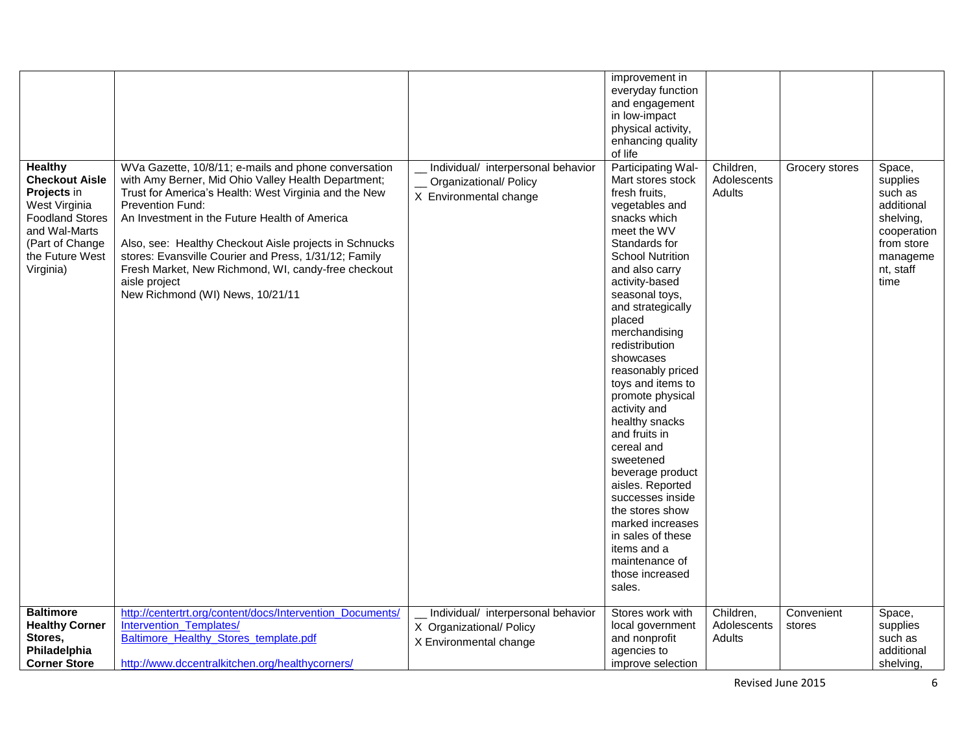| <b>Healthy</b><br><b>Checkout Aisle</b><br>Projects in<br>West Virginia<br><b>Foodland Stores</b><br>and Wal-Marts<br>(Part of Change<br>the Future West<br>Virginia) | WVa Gazette, 10/8/11; e-mails and phone conversation<br>with Amy Berner, Mid Ohio Valley Health Department;<br>Trust for America's Health: West Virginia and the New<br>Prevention Fund:<br>An Investment in the Future Health of America<br>Also, see: Healthy Checkout Aisle projects in Schnucks<br>stores: Evansville Courier and Press, 1/31/12; Family<br>Fresh Market, New Richmond, WI, candy-free checkout<br>aisle project<br>New Richmond (WI) News, 10/21/11 | Individual/ interpersonal behavior<br>Organizational/ Policy<br>X Environmental change   | improvement in<br>everyday function<br>and engagement<br>in low-impact<br>physical activity,<br>enhancing quality<br>of life<br>Participating Wal-<br>Mart stores stock<br>fresh fruits,<br>vegetables and<br>snacks which<br>meet the WV<br>Standards for<br><b>School Nutrition</b><br>and also carry<br>activity-based<br>seasonal toys,<br>and strategically<br>placed<br>merchandising<br>redistribution<br>showcases<br>reasonably priced<br>toys and items to<br>promote physical<br>activity and<br>healthy snacks<br>and fruits in<br>cereal and<br>sweetened<br>beverage product<br>aisles. Reported<br>successes inside<br>the stores show<br>marked increases<br>in sales of these<br>items and a<br>maintenance of<br>those increased<br>sales. | Children,<br>Adolescents<br>Adults | Grocery stores       | Space,<br>supplies<br>such as<br>additional<br>shelving,<br>cooperation<br>from store<br>manageme<br>nt, staff<br>time |
|-----------------------------------------------------------------------------------------------------------------------------------------------------------------------|--------------------------------------------------------------------------------------------------------------------------------------------------------------------------------------------------------------------------------------------------------------------------------------------------------------------------------------------------------------------------------------------------------------------------------------------------------------------------|------------------------------------------------------------------------------------------|--------------------------------------------------------------------------------------------------------------------------------------------------------------------------------------------------------------------------------------------------------------------------------------------------------------------------------------------------------------------------------------------------------------------------------------------------------------------------------------------------------------------------------------------------------------------------------------------------------------------------------------------------------------------------------------------------------------------------------------------------------------|------------------------------------|----------------------|------------------------------------------------------------------------------------------------------------------------|
| <b>Baltimore</b><br><b>Healthy Corner</b><br>Stores,<br>Philadelphia<br><b>Corner Store</b>                                                                           | http://centertrt.org/content/docs/Intervention_Documents/<br>Intervention Templates/<br>Baltimore_Healthy_Stores_template.pdf<br>http://www.dccentralkitchen.org/healthycorners/                                                                                                                                                                                                                                                                                         | Individual/ interpersonal behavior<br>X Organizational/ Policy<br>X Environmental change | Stores work with<br>local government<br>and nonprofit<br>agencies to<br>improve selection                                                                                                                                                                                                                                                                                                                                                                                                                                                                                                                                                                                                                                                                    | Children,<br>Adolescents<br>Adults | Convenient<br>stores | Space,<br>supplies<br>such as<br>additional<br>shelving,                                                               |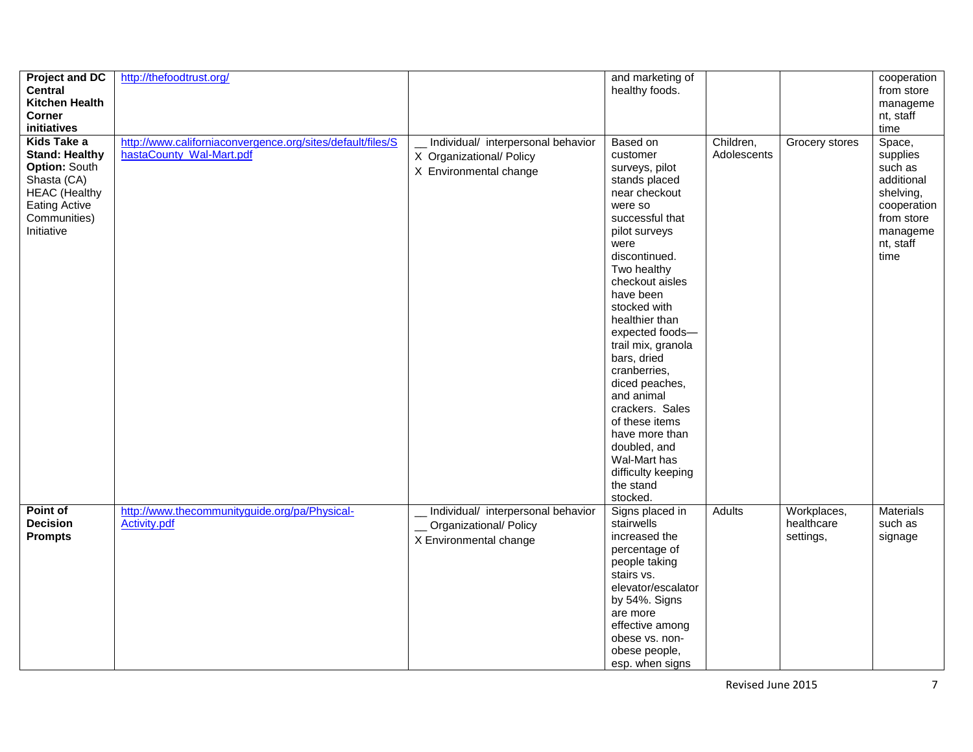| <b>Project and DC</b><br><b>Central</b><br><b>Kitchen Health</b><br>Corner<br>initiatives                                                                 | http://thefoodtrust.org/                                                               |                                                                                          | and marketing of<br>healthy foods.                                                                                                                                                                                                                                                                                                                                                                                                                                              |                          |                                        | cooperation<br>from store<br>manageme<br>nt, staff<br>time                                                             |
|-----------------------------------------------------------------------------------------------------------------------------------------------------------|----------------------------------------------------------------------------------------|------------------------------------------------------------------------------------------|---------------------------------------------------------------------------------------------------------------------------------------------------------------------------------------------------------------------------------------------------------------------------------------------------------------------------------------------------------------------------------------------------------------------------------------------------------------------------------|--------------------------|----------------------------------------|------------------------------------------------------------------------------------------------------------------------|
| Kids Take a<br><b>Stand: Healthy</b><br><b>Option: South</b><br>Shasta (CA)<br><b>HEAC (Healthy</b><br><b>Eating Active</b><br>Communities)<br>Initiative | http://www.californiaconvergence.org/sites/default/files/S<br>hastaCounty Wal-Mart.pdf | Individual/ interpersonal behavior<br>X Organizational/ Policy<br>X Environmental change | Based on<br>customer<br>surveys, pilot<br>stands placed<br>near checkout<br>were so<br>successful that<br>pilot surveys<br>were<br>discontinued.<br>Two healthy<br>checkout aisles<br>have been<br>stocked with<br>healthier than<br>expected foods-<br>trail mix, granola<br>bars, dried<br>cranberries,<br>diced peaches,<br>and animal<br>crackers. Sales<br>of these items<br>have more than<br>doubled, and<br>Wal-Mart has<br>difficulty keeping<br>the stand<br>stocked. | Children,<br>Adolescents | Grocery stores                         | Space,<br>supplies<br>such as<br>additional<br>shelving,<br>cooperation<br>from store<br>manageme<br>nt, staff<br>time |
| Point of<br><b>Decision</b><br><b>Prompts</b>                                                                                                             | http://www.thecommunityguide.org/pa/Physical-<br>Activity.pdf                          | Individual/ interpersonal behavior<br>Organizational/ Policy<br>X Environmental change   | Signs placed in<br>stairwells<br>increased the<br>percentage of<br>people taking<br>stairs vs.<br>elevator/escalator<br>by 54%. Signs<br>are more<br>effective among<br>obese vs. non-<br>obese people,<br>esp. when signs                                                                                                                                                                                                                                                      | Adults                   | Workplaces,<br>healthcare<br>settings, | Materials<br>such as<br>signage                                                                                        |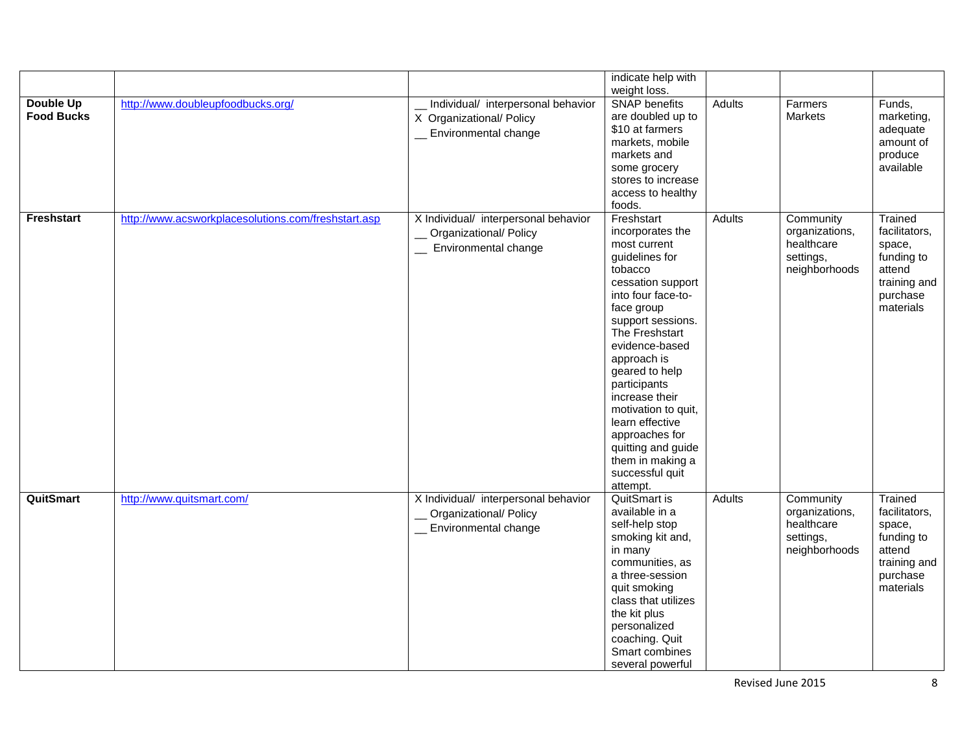|                                |                                                     |                                                                                               | indicate help with                                                                                                                                                                                                                                                                                                                                                                                    |               |                                                                         |                                                                                                     |
|--------------------------------|-----------------------------------------------------|-----------------------------------------------------------------------------------------------|-------------------------------------------------------------------------------------------------------------------------------------------------------------------------------------------------------------------------------------------------------------------------------------------------------------------------------------------------------------------------------------------------------|---------------|-------------------------------------------------------------------------|-----------------------------------------------------------------------------------------------------|
|                                |                                                     |                                                                                               | weight loss.                                                                                                                                                                                                                                                                                                                                                                                          |               |                                                                         |                                                                                                     |
| Double Up<br><b>Food Bucks</b> | http://www.doubleupfoodbucks.org/                   | __ Individual/ interpersonal behavior<br>X Organizational/ Policy<br>Environmental change     | <b>SNAP</b> benefits<br>are doubled up to<br>\$10 at farmers<br>markets, mobile<br>markets and<br>some grocery<br>stores to increase<br>access to healthy<br>foods.                                                                                                                                                                                                                                   | <b>Adults</b> | Farmers<br>Markets                                                      | Funds,<br>marketing,<br>adequate<br>amount of<br>produce<br>available                               |
| Freshstart                     | http://www.acsworkplacesolutions.com/freshstart.asp | X Individual/ interpersonal behavior<br>_ Organizational/ Policy<br>_ Environmental change    | Freshstart<br>incorporates the<br>most current<br>guidelines for<br>tobacco<br>cessation support<br>into four face-to-<br>face group<br>support sessions.<br>The Freshstart<br>evidence-based<br>approach is<br>geared to help<br>participants<br>increase their<br>motivation to quit,<br>learn effective<br>approaches for<br>quitting and guide<br>them in making a<br>successful quit<br>attempt. | <b>Adults</b> | Community<br>organizations,<br>healthcare<br>settings,<br>neighborhoods | Trained<br>facilitators,<br>space,<br>funding to<br>attend<br>training and<br>purchase<br>materials |
| <b>QuitSmart</b>               | http://www.quitsmart.com/                           | X Individual/ interpersonal behavior<br>Organizational/ Policy<br><b>Environmental change</b> | <b>QuitSmart is</b><br>available in a<br>self-help stop<br>smoking kit and,<br>in many<br>communities, as<br>a three-session<br>quit smoking<br>class that utilizes<br>the kit plus<br>personalized<br>coaching. Quit<br>Smart combines<br>several powerful                                                                                                                                           | <b>Adults</b> | Community<br>organizations,<br>healthcare<br>settings,<br>neighborhoods | Trained<br>facilitators,<br>space,<br>funding to<br>attend<br>training and<br>purchase<br>materials |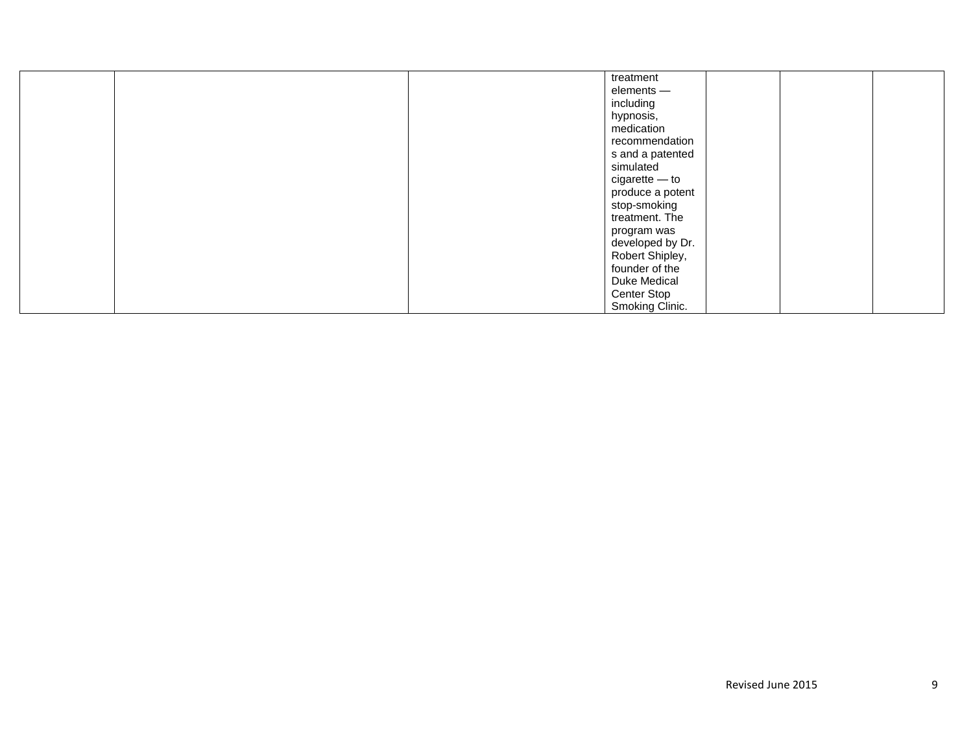|  | treatment           |  |
|--|---------------------|--|
|  | elements -          |  |
|  | including           |  |
|  | hypnosis,           |  |
|  | medication          |  |
|  | recommendation      |  |
|  | s and a patented    |  |
|  | simulated           |  |
|  | cigarette - to      |  |
|  | produce a potent    |  |
|  | stop-smoking        |  |
|  | treatment. The      |  |
|  | program was         |  |
|  | developed by Dr.    |  |
|  | Robert Shipley,     |  |
|  | founder of the      |  |
|  | <b>Duke Medical</b> |  |
|  | Center Stop         |  |
|  | Smoking Clinic.     |  |
|  |                     |  |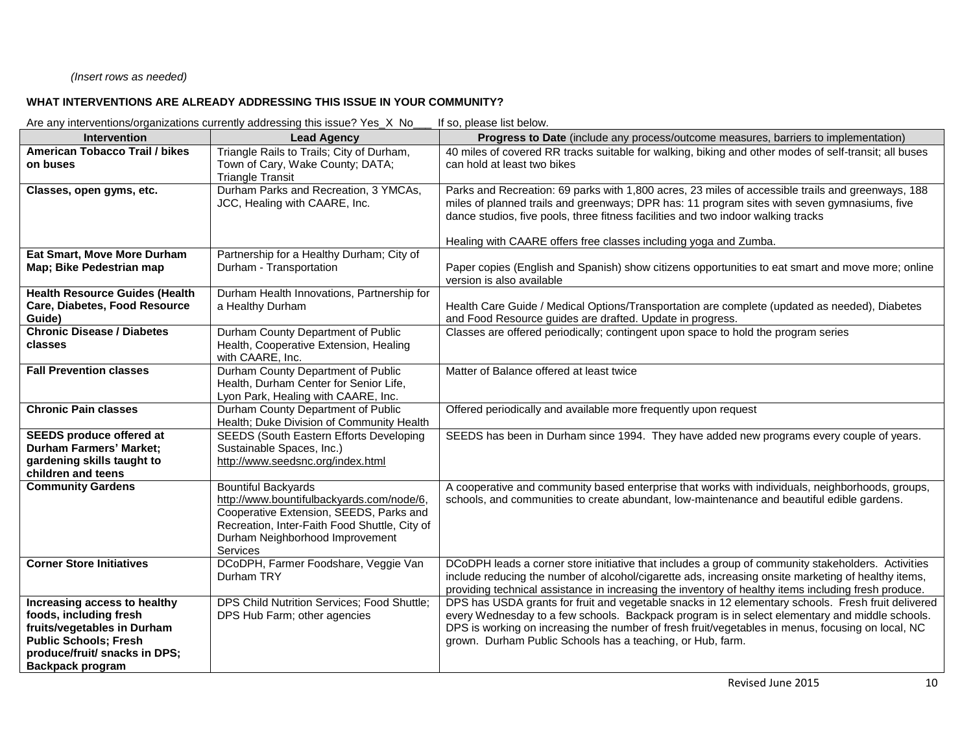# *(Insert rows as needed)*

## **WHAT INTERVENTIONS ARE ALREADY ADDRESSING THIS ISSUE IN YOUR COMMUNITY?**

Are any interventions/organizations currently addressing this issue? Yes\_X No\_\_\_ If so, please list below.

| Intervention                                                                                                                                                                      | <b>Lead Agency</b>                                                                                                                                                                                                 | Progress to Date (include any process/outcome measures, barriers to implementation)                                                                                                                                                                                                                                                                                     |
|-----------------------------------------------------------------------------------------------------------------------------------------------------------------------------------|--------------------------------------------------------------------------------------------------------------------------------------------------------------------------------------------------------------------|-------------------------------------------------------------------------------------------------------------------------------------------------------------------------------------------------------------------------------------------------------------------------------------------------------------------------------------------------------------------------|
| <b>American Tobacco Trail / bikes</b><br>on buses                                                                                                                                 | Triangle Rails to Trails; City of Durham,<br>Town of Cary, Wake County; DATA;<br><b>Triangle Transit</b>                                                                                                           | 40 miles of covered RR tracks suitable for walking, biking and other modes of self-transit; all buses<br>can hold at least two bikes                                                                                                                                                                                                                                    |
| Classes, open gyms, etc.                                                                                                                                                          | Durham Parks and Recreation, 3 YMCAs,<br>JCC, Healing with CAARE, Inc.                                                                                                                                             | Parks and Recreation: 69 parks with 1,800 acres, 23 miles of accessible trails and greenways, 188<br>miles of planned trails and greenways; DPR has: 11 program sites with seven gymnasiums, five<br>dance studios, five pools, three fitness facilities and two indoor walking tracks<br>Healing with CAARE offers free classes including yoga and Zumba.              |
| Eat Smart, Move More Durham                                                                                                                                                       | Partnership for a Healthy Durham; City of                                                                                                                                                                          |                                                                                                                                                                                                                                                                                                                                                                         |
| Map; Bike Pedestrian map                                                                                                                                                          | Durham - Transportation                                                                                                                                                                                            | Paper copies (English and Spanish) show citizens opportunities to eat smart and move more; online<br>version is also available                                                                                                                                                                                                                                          |
| <b>Health Resource Guides (Health</b>                                                                                                                                             | Durham Health Innovations, Partnership for                                                                                                                                                                         |                                                                                                                                                                                                                                                                                                                                                                         |
| Care, Diabetes, Food Resource<br>Guide)                                                                                                                                           | a Healthy Durham                                                                                                                                                                                                   | Health Care Guide / Medical Options/Transportation are complete (updated as needed), Diabetes<br>and Food Resource guides are drafted. Update in progress.                                                                                                                                                                                                              |
| <b>Chronic Disease / Diabetes</b><br>classes                                                                                                                                      | Durham County Department of Public<br>Health, Cooperative Extension, Healing<br>with CAARE, Inc.                                                                                                                   | Classes are offered periodically; contingent upon space to hold the program series                                                                                                                                                                                                                                                                                      |
| <b>Fall Prevention classes</b>                                                                                                                                                    | Durham County Department of Public<br>Health, Durham Center for Senior Life,<br>Lyon Park, Healing with CAARE, Inc.                                                                                                | Matter of Balance offered at least twice                                                                                                                                                                                                                                                                                                                                |
| <b>Chronic Pain classes</b>                                                                                                                                                       | Durham County Department of Public<br>Health; Duke Division of Community Health                                                                                                                                    | Offered periodically and available more frequently upon request                                                                                                                                                                                                                                                                                                         |
| <b>SEEDS produce offered at</b><br><b>Durham Farmers' Market:</b><br>gardening skills taught to<br>children and teens                                                             | <b>SEEDS (South Eastern Efforts Developing</b><br>Sustainable Spaces, Inc.)<br>http://www.seedsnc.org/index.html                                                                                                   | SEEDS has been in Durham since 1994. They have added new programs every couple of years.                                                                                                                                                                                                                                                                                |
| <b>Community Gardens</b>                                                                                                                                                          | <b>Bountiful Backyards</b><br>http://www.bountifulbackyards.com/node/6,<br>Cooperative Extension, SEEDS, Parks and<br>Recreation, Inter-Faith Food Shuttle, City of<br>Durham Neighborhood Improvement<br>Services | A cooperative and community based enterprise that works with individuals, neighborhoods, groups,<br>schools, and communities to create abundant, low-maintenance and beautiful edible gardens.                                                                                                                                                                          |
| <b>Corner Store Initiatives</b>                                                                                                                                                   | DCoDPH, Farmer Foodshare, Veggie Van<br>Durham TRY                                                                                                                                                                 | DCoDPH leads a corner store initiative that includes a group of community stakeholders. Activities<br>include reducing the number of alcohol/cigarette ads, increasing onsite marketing of healthy items,<br>providing technical assistance in increasing the inventory of healthy items including fresh produce.                                                       |
| Increasing access to healthy<br>foods, including fresh<br>fruits/vegetables in Durham<br><b>Public Schools; Fresh</b><br>produce/fruit/ snacks in DPS;<br><b>Backpack program</b> | DPS Child Nutrition Services; Food Shuttle;<br>DPS Hub Farm; other agencies                                                                                                                                        | DPS has USDA grants for fruit and vegetable snacks in 12 elementary schools. Fresh fruit delivered<br>every Wednesday to a few schools. Backpack program is in select elementary and middle schools.<br>DPS is working on increasing the number of fresh fruit/vegetables in menus, focusing on local, NC<br>grown. Durham Public Schools has a teaching, or Hub, farm. |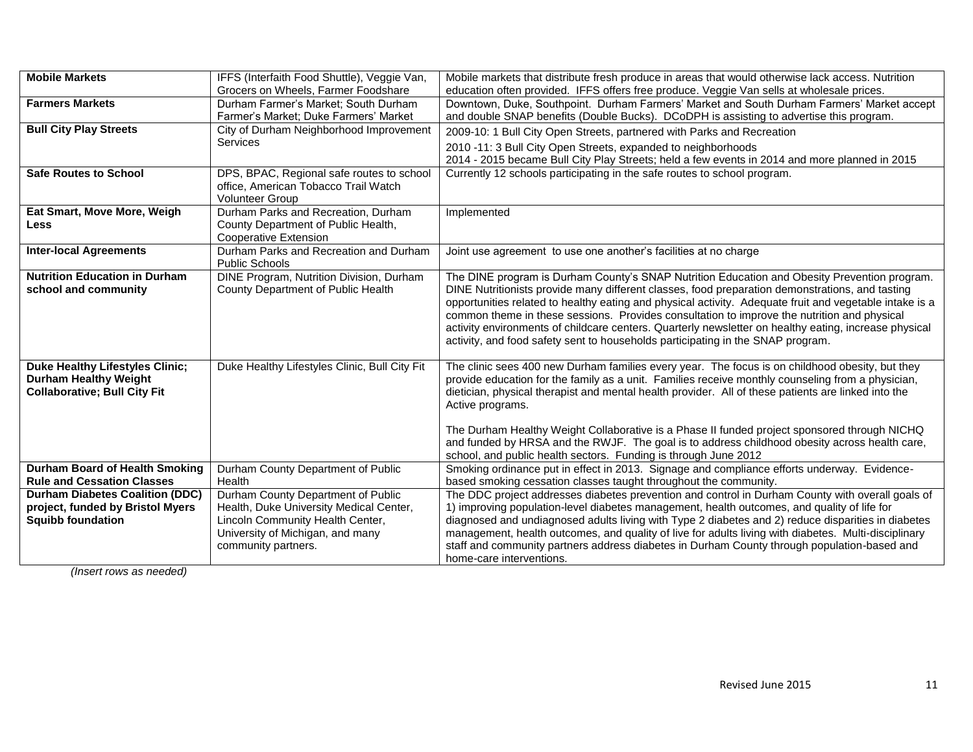| <b>Mobile Markets</b>                  | IFFS (Interfaith Food Shuttle), Veggie Van,                | Mobile markets that distribute fresh produce in areas that would otherwise lack access. Nutrition                                                                                               |
|----------------------------------------|------------------------------------------------------------|-------------------------------------------------------------------------------------------------------------------------------------------------------------------------------------------------|
|                                        | Grocers on Wheels, Farmer Foodshare                        | education often provided. IFFS offers free produce. Veggie Van sells at wholesale prices.                                                                                                       |
| <b>Farmers Markets</b>                 | Durham Farmer's Market; South Durham                       | Downtown, Duke, Southpoint. Durham Farmers' Market and South Durham Farmers' Market accept                                                                                                      |
|                                        | Farmer's Market; Duke Farmers' Market                      | and double SNAP benefits (Double Bucks). DCoDPH is assisting to advertise this program.                                                                                                         |
| <b>Bull City Play Streets</b>          | City of Durham Neighborhood Improvement                    | 2009-10: 1 Bull City Open Streets, partnered with Parks and Recreation                                                                                                                          |
|                                        | <b>Services</b>                                            | 2010 -11: 3 Bull City Open Streets, expanded to neighborhoods                                                                                                                                   |
|                                        |                                                            | 2014 - 2015 became Bull City Play Streets; held a few events in 2014 and more planned in 2015                                                                                                   |
| <b>Safe Routes to School</b>           | DPS, BPAC, Regional safe routes to school                  | Currently 12 schools participating in the safe routes to school program.                                                                                                                        |
|                                        | office, American Tobacco Trail Watch                       |                                                                                                                                                                                                 |
|                                        | <b>Volunteer Group</b>                                     |                                                                                                                                                                                                 |
| Eat Smart, Move More, Weigh            | Durham Parks and Recreation, Durham                        | Implemented                                                                                                                                                                                     |
| <b>Less</b>                            | County Department of Public Health,                        |                                                                                                                                                                                                 |
|                                        | Cooperative Extension                                      |                                                                                                                                                                                                 |
| <b>Inter-local Agreements</b>          | Durham Parks and Recreation and Durham                     | Joint use agreement to use one another's facilities at no charge                                                                                                                                |
| <b>Nutrition Education in Durham</b>   | Public Schools<br>DINE Program, Nutrition Division, Durham |                                                                                                                                                                                                 |
| school and community                   | County Department of Public Health                         | The DINE program is Durham County's SNAP Nutrition Education and Obesity Prevention program.<br>DINE Nutritionists provide many different classes, food preparation demonstrations, and tasting |
|                                        |                                                            | opportunities related to healthy eating and physical activity. Adequate fruit and vegetable intake is a                                                                                         |
|                                        |                                                            | common theme in these sessions. Provides consultation to improve the nutrition and physical                                                                                                     |
|                                        |                                                            | activity environments of childcare centers. Quarterly newsletter on healthy eating, increase physical                                                                                           |
|                                        |                                                            | activity, and food safety sent to households participating in the SNAP program.                                                                                                                 |
|                                        |                                                            |                                                                                                                                                                                                 |
| <b>Duke Healthy Lifestyles Clinic;</b> | Duke Healthy Lifestyles Clinic, Bull City Fit              | The clinic sees 400 new Durham families every year. The focus is on childhood obesity, but they                                                                                                 |
| <b>Durham Healthy Weight</b>           |                                                            | provide education for the family as a unit. Families receive monthly counseling from a physician,                                                                                               |
| <b>Collaborative; Bull City Fit</b>    |                                                            | dietician, physical therapist and mental health provider. All of these patients are linked into the                                                                                             |
|                                        |                                                            | Active programs.                                                                                                                                                                                |
|                                        |                                                            |                                                                                                                                                                                                 |
|                                        |                                                            | The Durham Healthy Weight Collaborative is a Phase II funded project sponsored through NICHQ                                                                                                    |
|                                        |                                                            | and funded by HRSA and the RWJF. The goal is to address childhood obesity across health care,<br>school, and public health sectors. Funding is through June 2012                                |
| Durham Board of Health Smoking         | Durham County Department of Public                         | Smoking ordinance put in effect in 2013. Signage and compliance efforts underway. Evidence-                                                                                                     |
| <b>Rule and Cessation Classes</b>      | Health                                                     | based smoking cessation classes taught throughout the community.                                                                                                                                |
| <b>Durham Diabetes Coalition (DDC)</b> | Durham County Department of Public                         | The DDC project addresses diabetes prevention and control in Durham County with overall goals of                                                                                                |
| project, funded by Bristol Myers       | Health, Duke University Medical Center,                    | 1) improving population-level diabetes management, health outcomes, and quality of life for                                                                                                     |
| <b>Squibb foundation</b>               | Lincoln Community Health Center,                           | diagnosed and undiagnosed adults living with Type 2 diabetes and 2) reduce disparities in diabetes                                                                                              |
|                                        | University of Michigan, and many                           | management, health outcomes, and quality of live for adults living with diabetes. Multi-disciplinary                                                                                            |
|                                        | community partners.                                        | staff and community partners address diabetes in Durham County through population-based and                                                                                                     |
|                                        |                                                            | home-care interventions.                                                                                                                                                                        |

*(Insert rows as needed)*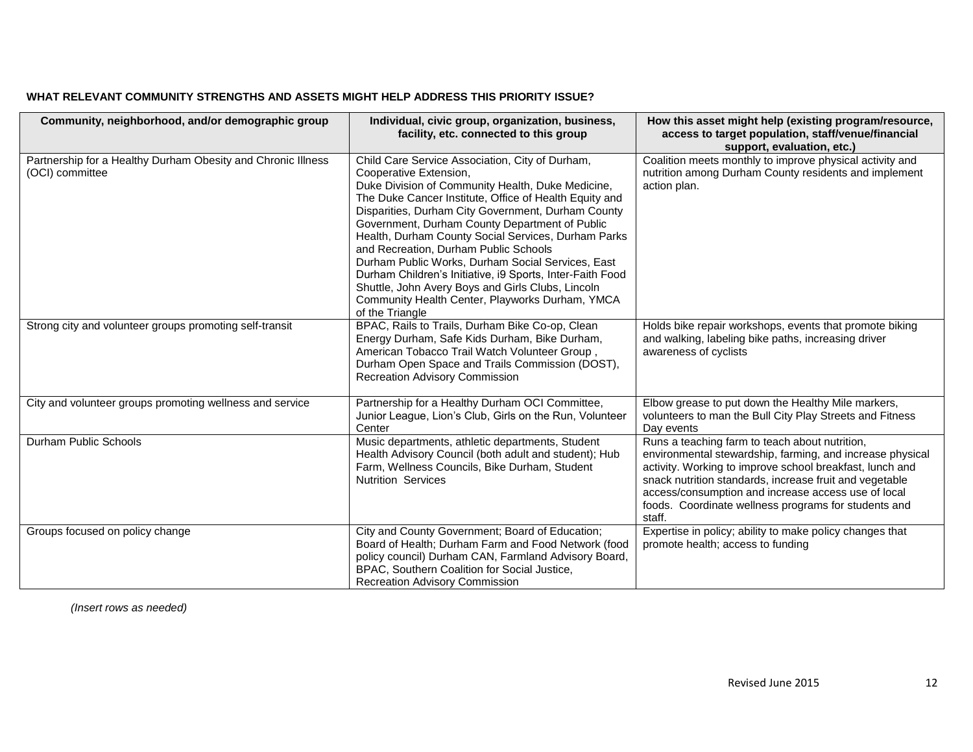| Community, neighborhood, and/or demographic group                               | Individual, civic group, organization, business,<br>facility, etc. connected to this group                                                                                                                                                                                                                                                                                                                                                                                                                                                                                                                                                    | How this asset might help (existing program/resource,<br>access to target population, staff/venue/financial<br>support, evaluation, etc.)                                                                                                                                                                                                                   |
|---------------------------------------------------------------------------------|-----------------------------------------------------------------------------------------------------------------------------------------------------------------------------------------------------------------------------------------------------------------------------------------------------------------------------------------------------------------------------------------------------------------------------------------------------------------------------------------------------------------------------------------------------------------------------------------------------------------------------------------------|-------------------------------------------------------------------------------------------------------------------------------------------------------------------------------------------------------------------------------------------------------------------------------------------------------------------------------------------------------------|
| Partnership for a Healthy Durham Obesity and Chronic Illness<br>(OCI) committee | Child Care Service Association, City of Durham,<br>Cooperative Extension,<br>Duke Division of Community Health, Duke Medicine,<br>The Duke Cancer Institute, Office of Health Equity and<br>Disparities, Durham City Government, Durham County<br>Government, Durham County Department of Public<br>Health, Durham County Social Services, Durham Parks<br>and Recreation, Durham Public Schools<br>Durham Public Works, Durham Social Services, East<br>Durham Children's Initiative, i9 Sports, Inter-Faith Food<br>Shuttle, John Avery Boys and Girls Clubs, Lincoln<br>Community Health Center, Playworks Durham, YMCA<br>of the Triangle | Coalition meets monthly to improve physical activity and<br>nutrition among Durham County residents and implement<br>action plan.                                                                                                                                                                                                                           |
| Strong city and volunteer groups promoting self-transit                         | BPAC, Rails to Trails, Durham Bike Co-op, Clean<br>Energy Durham, Safe Kids Durham, Bike Durham,<br>American Tobacco Trail Watch Volunteer Group,<br>Durham Open Space and Trails Commission (DOST),<br><b>Recreation Advisory Commission</b>                                                                                                                                                                                                                                                                                                                                                                                                 | Holds bike repair workshops, events that promote biking<br>and walking, labeling bike paths, increasing driver<br>awareness of cyclists                                                                                                                                                                                                                     |
| City and volunteer groups promoting wellness and service                        | Partnership for a Healthy Durham OCI Committee,<br>Junior League, Lion's Club, Girls on the Run, Volunteer<br>Center                                                                                                                                                                                                                                                                                                                                                                                                                                                                                                                          | Elbow grease to put down the Healthy Mile markers,<br>volunteers to man the Bull City Play Streets and Fitness<br>Day events                                                                                                                                                                                                                                |
| Durham Public Schools                                                           | Music departments, athletic departments, Student<br>Health Advisory Council (both adult and student); Hub<br>Farm, Wellness Councils, Bike Durham, Student<br><b>Nutrition Services</b>                                                                                                                                                                                                                                                                                                                                                                                                                                                       | Runs a teaching farm to teach about nutrition,<br>environmental stewardship, farming, and increase physical<br>activity. Working to improve school breakfast, lunch and<br>snack nutrition standards, increase fruit and vegetable<br>access/consumption and increase access use of local<br>foods. Coordinate wellness programs for students and<br>staff. |
| Groups focused on policy change                                                 | City and County Government; Board of Education;<br>Board of Health; Durham Farm and Food Network (food<br>policy council) Durham CAN, Farmland Advisory Board,<br>BPAC, Southern Coalition for Social Justice,<br><b>Recreation Advisory Commission</b>                                                                                                                                                                                                                                                                                                                                                                                       | Expertise in policy; ability to make policy changes that<br>promote health; access to funding                                                                                                                                                                                                                                                               |

# **WHAT RELEVANT COMMUNITY STRENGTHS AND ASSETS MIGHT HELP ADDRESS THIS PRIORITY ISSUE?**

*(Insert rows as needed)*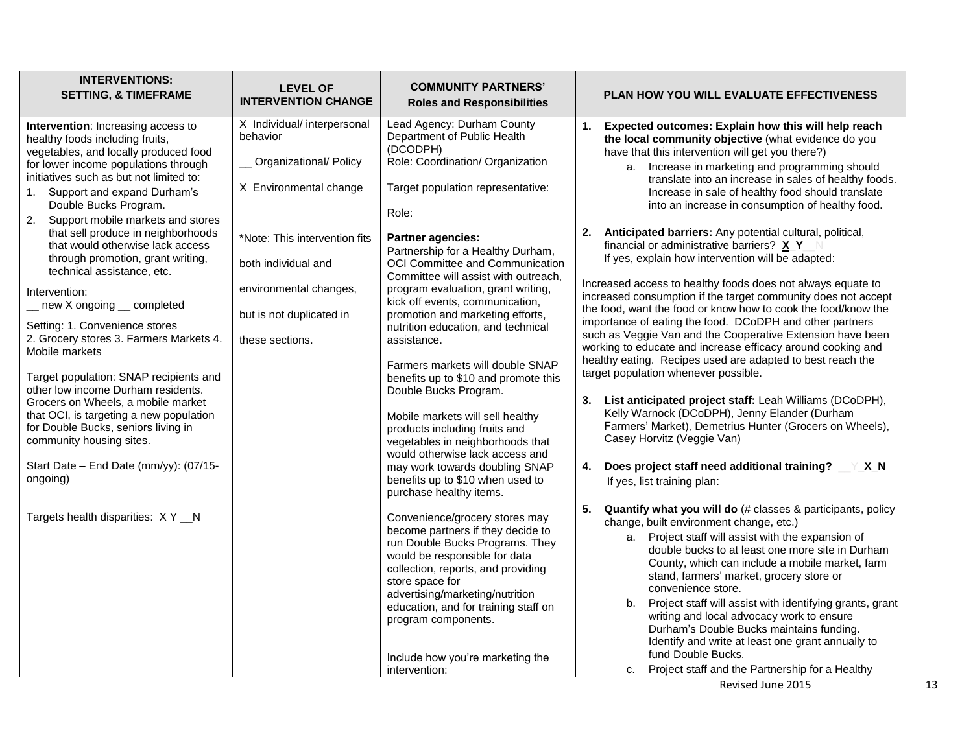| <b>INTERVENTIONS:</b><br><b>SETTING, &amp; TIMEFRAME</b>                                                                                                                                                                                                                                                                                                                                                                                                                                                                                                                                                                                                                                                                                                                                                                                                                                                                         | <b>LEVEL OF</b><br><b>INTERVENTION CHANGE</b>                                                                                                                                                                                       | <b>COMMUNITY PARTNERS'</b><br><b>Roles and Responsibilities</b>                                                                                                                                                                                                                                                                                                                                                                                                                                                                                                                                                                                                                                                                                                                                                                                                                                                                                                                                                                                                                                                                                                                    | <b>PLAN HOW YOU WILL EVALUATE EFFECTIVENESS</b>                                                                                                                                                                                                                                                                                                                                                                                                                                                                                                                                                                                                                                                                                                                                                                                                                                                                                                                                                                                                                                                                                                                                                                                                                                                                                                                                                                                                                                                                                                                                                                                                                                                                                                                                                                                                                                                                                                                                                                 |
|----------------------------------------------------------------------------------------------------------------------------------------------------------------------------------------------------------------------------------------------------------------------------------------------------------------------------------------------------------------------------------------------------------------------------------------------------------------------------------------------------------------------------------------------------------------------------------------------------------------------------------------------------------------------------------------------------------------------------------------------------------------------------------------------------------------------------------------------------------------------------------------------------------------------------------|-------------------------------------------------------------------------------------------------------------------------------------------------------------------------------------------------------------------------------------|------------------------------------------------------------------------------------------------------------------------------------------------------------------------------------------------------------------------------------------------------------------------------------------------------------------------------------------------------------------------------------------------------------------------------------------------------------------------------------------------------------------------------------------------------------------------------------------------------------------------------------------------------------------------------------------------------------------------------------------------------------------------------------------------------------------------------------------------------------------------------------------------------------------------------------------------------------------------------------------------------------------------------------------------------------------------------------------------------------------------------------------------------------------------------------|-----------------------------------------------------------------------------------------------------------------------------------------------------------------------------------------------------------------------------------------------------------------------------------------------------------------------------------------------------------------------------------------------------------------------------------------------------------------------------------------------------------------------------------------------------------------------------------------------------------------------------------------------------------------------------------------------------------------------------------------------------------------------------------------------------------------------------------------------------------------------------------------------------------------------------------------------------------------------------------------------------------------------------------------------------------------------------------------------------------------------------------------------------------------------------------------------------------------------------------------------------------------------------------------------------------------------------------------------------------------------------------------------------------------------------------------------------------------------------------------------------------------------------------------------------------------------------------------------------------------------------------------------------------------------------------------------------------------------------------------------------------------------------------------------------------------------------------------------------------------------------------------------------------------------------------------------------------------------------------------------------------------|
| Intervention: Increasing access to<br>healthy foods including fruits,<br>vegetables, and locally produced food<br>for lower income populations through<br>initiatives such as but not limited to:<br>1. Support and expand Durham's<br>Double Bucks Program.<br>2.<br>Support mobile markets and stores<br>that sell produce in neighborhoods<br>that would otherwise lack access<br>through promotion, grant writing,<br>technical assistance, etc.<br>Intervention:<br>new X ongoing __ completed<br>Setting: 1. Convenience stores<br>2. Grocery stores 3. Farmers Markets 4.<br>Mobile markets<br>Target population: SNAP recipients and<br>other low income Durham residents.<br>Grocers on Wheels, a mobile market<br>that OCI, is targeting a new population<br>for Double Bucks, seniors living in<br>community housing sites.<br>Start Date - End Date (mm/yy): (07/15-<br>ongoing)<br>Targets health disparities: XY_N | X Individual/ interpersonal<br>behavior<br><b>Organizational/ Policy</b><br>X Environmental change<br>*Note: This intervention fits<br>both individual and<br>environmental changes,<br>but is not duplicated in<br>these sections. | Lead Agency: Durham County<br>Department of Public Health<br>(DCODPH)<br>Role: Coordination/ Organization<br>Target population representative:<br>Role:<br><b>Partner agencies:</b><br>Partnership for a Healthy Durham,<br>OCI Committee and Communication<br>Committee will assist with outreach,<br>program evaluation, grant writing,<br>kick off events, communication,<br>promotion and marketing efforts,<br>nutrition education, and technical<br>assistance.<br>Farmers markets will double SNAP<br>benefits up to \$10 and promote this<br>Double Bucks Program.<br>Mobile markets will sell healthy<br>products including fruits and<br>vegetables in neighborhoods that<br>would otherwise lack access and<br>may work towards doubling SNAP<br>benefits up to \$10 when used to<br>purchase healthy items.<br>Convenience/grocery stores may<br>become partners if they decide to<br>run Double Bucks Programs. They<br>would be responsible for data<br>collection, reports, and providing<br>store space for<br>advertising/marketing/nutrition<br>education, and for training staff on<br>program components.<br>Include how you're marketing the<br>intervention: | Expected outcomes: Explain how this will help reach<br>1.<br>the local community objective (what evidence do you<br>have that this intervention will get you there?)<br>a. Increase in marketing and programming should<br>translate into an increase in sales of healthy foods.<br>Increase in sale of healthy food should translate<br>into an increase in consumption of healthy food.<br>Anticipated barriers: Any potential cultural, political,<br>2.<br>financial or administrative barriers? X_Y<br>If yes, explain how intervention will be adapted:<br>Increased access to healthy foods does not always equate to<br>increased consumption if the target community does not accept<br>the food, want the food or know how to cook the food/know the<br>importance of eating the food. DCoDPH and other partners<br>such as Veggie Van and the Cooperative Extension have been<br>working to educate and increase efficacy around cooking and<br>healthy eating. Recipes used are adapted to best reach the<br>target population whenever possible.<br>3.<br>List anticipated project staff: Leah Williams (DCoDPH),<br>Kelly Warnock (DCoDPH), Jenny Elander (Durham<br>Farmers' Market), Demetrius Hunter (Grocers on Wheels),<br>Casey Horvitz (Veggie Van)<br>Does project staff need additional training?<br>YXN<br>4.<br>If yes, list training plan:<br>5.<br>Quantify what you will do (# classes & participants, policy<br>change, built environment change, etc.)<br>a. Project staff will assist with the expansion of<br>double bucks to at least one more site in Durham<br>County, which can include a mobile market, farm<br>stand, farmers' market, grocery store or<br>convenience store.<br>b. Project staff will assist with identifying grants, grant<br>writing and local advocacy work to ensure<br>Durham's Double Bucks maintains funding.<br>Identify and write at least one grant annually to<br>fund Double Bucks.<br>Project staff and the Partnership for a Healthy<br>c. |
|                                                                                                                                                                                                                                                                                                                                                                                                                                                                                                                                                                                                                                                                                                                                                                                                                                                                                                                                  |                                                                                                                                                                                                                                     |                                                                                                                                                                                                                                                                                                                                                                                                                                                                                                                                                                                                                                                                                                                                                                                                                                                                                                                                                                                                                                                                                                                                                                                    | Revised June 2015                                                                                                                                                                                                                                                                                                                                                                                                                                                                                                                                                                                                                                                                                                                                                                                                                                                                                                                                                                                                                                                                                                                                                                                                                                                                                                                                                                                                                                                                                                                                                                                                                                                                                                                                                                                                                                                                                                                                                                                               |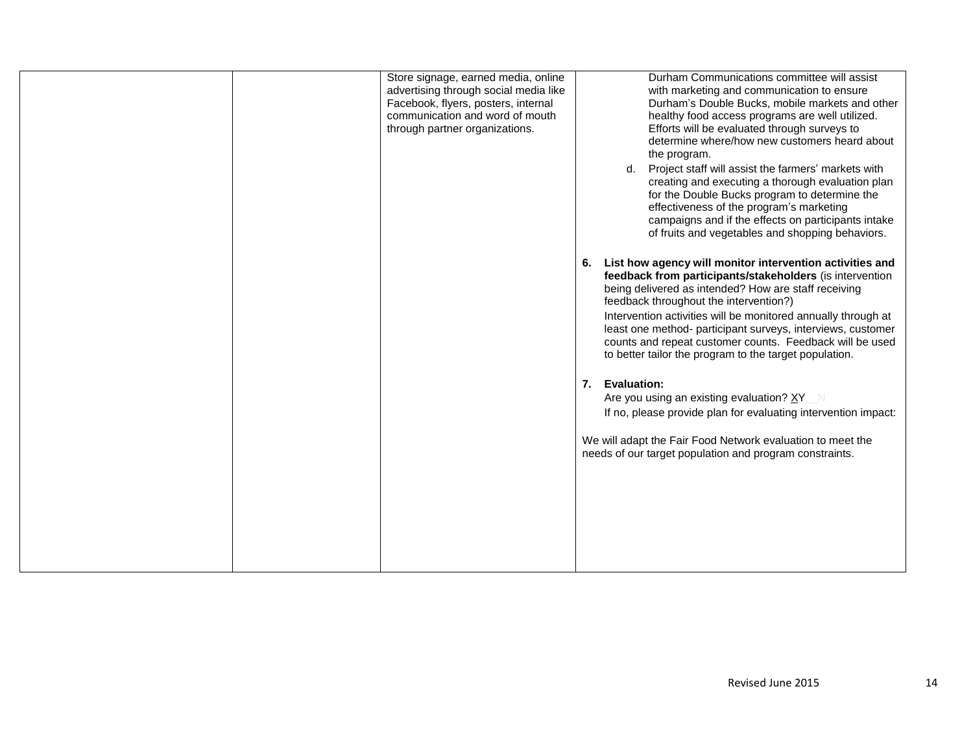|  | Store signage, earned media, online<br>advertising through social media like<br>Facebook, flyers, posters, internal<br>communication and word of mouth<br>through partner organizations. | 7. Evaluation: | Durham Communications committee will assist<br>with marketing and communication to ensure<br>Durham's Double Bucks, mobile markets and other<br>healthy food access programs are well utilized.<br>Efforts will be evaluated through surveys to<br>determine where/how new customers heard about<br>the program.<br>Project staff will assist the farmers' markets with<br>d.<br>creating and executing a thorough evaluation plan<br>for the Double Bucks program to determine the<br>effectiveness of the program's marketing<br>campaigns and if the effects on participants intake<br>of fruits and vegetables and shopping behaviors.<br>6. List how agency will monitor intervention activities and<br>feedback from participants/stakeholders (is intervention<br>being delivered as intended? How are staff receiving<br>feedback throughout the intervention?)<br>Intervention activities will be monitored annually through at<br>least one method- participant surveys, interviews, customer<br>counts and repeat customer counts. Feedback will be used<br>to better tailor the program to the target population.<br>Are you using an existing evaluation? XY_N<br>If no, please provide plan for evaluating intervention impact:<br>We will adapt the Fair Food Network evaluation to meet the<br>needs of our target population and program constraints. |
|--|------------------------------------------------------------------------------------------------------------------------------------------------------------------------------------------|----------------|------------------------------------------------------------------------------------------------------------------------------------------------------------------------------------------------------------------------------------------------------------------------------------------------------------------------------------------------------------------------------------------------------------------------------------------------------------------------------------------------------------------------------------------------------------------------------------------------------------------------------------------------------------------------------------------------------------------------------------------------------------------------------------------------------------------------------------------------------------------------------------------------------------------------------------------------------------------------------------------------------------------------------------------------------------------------------------------------------------------------------------------------------------------------------------------------------------------------------------------------------------------------------------------------------------------------------------------------------------------------|
|  |                                                                                                                                                                                          |                |                                                                                                                                                                                                                                                                                                                                                                                                                                                                                                                                                                                                                                                                                                                                                                                                                                                                                                                                                                                                                                                                                                                                                                                                                                                                                                                                                                        |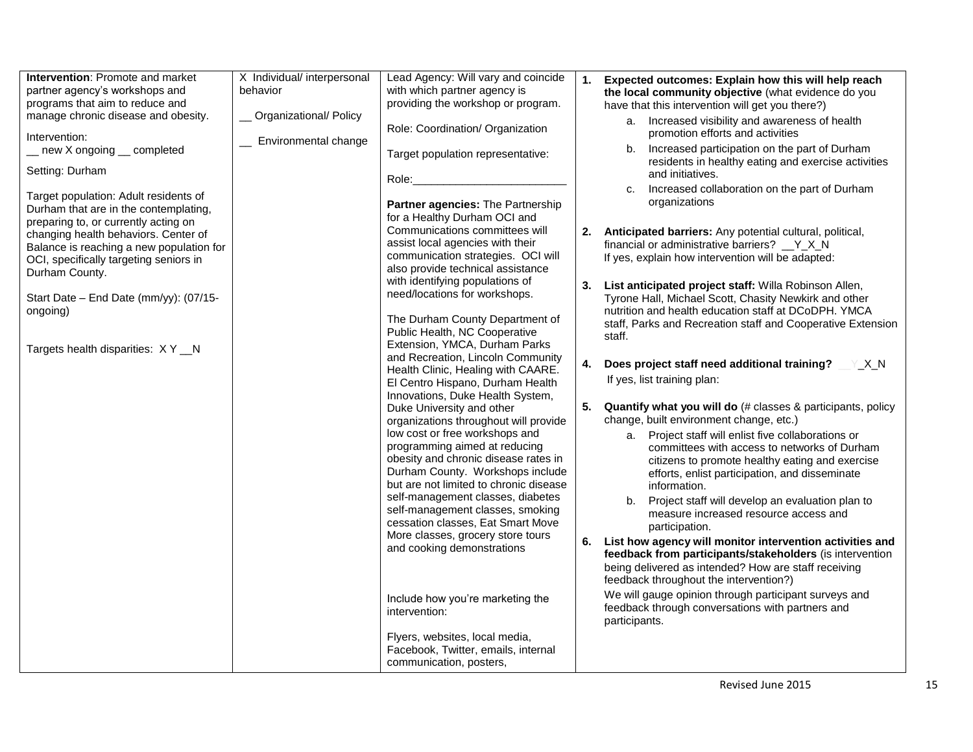| <b>Intervention: Promote and market</b>                                                                                | X Individual/ interpersonal | Lead Agency: Will vary and coincide                                                                        |    | 1. Expected outcomes: Explain how this will help reach                                                                                                          |
|------------------------------------------------------------------------------------------------------------------------|-----------------------------|------------------------------------------------------------------------------------------------------------|----|-----------------------------------------------------------------------------------------------------------------------------------------------------------------|
| partner agency's workshops and<br>programs that aim to reduce and                                                      | behavior                    | with which partner agency is<br>providing the workshop or program.                                         |    | the local community objective (what evidence do you                                                                                                             |
| manage chronic disease and obesity.                                                                                    | Organizational/ Policy      |                                                                                                            |    | have that this intervention will get you there?)<br>a. Increased visibility and awareness of health                                                             |
| Intervention:                                                                                                          | Environmental change        | Role: Coordination/ Organization                                                                           |    | promotion efforts and activities                                                                                                                                |
| _ new X ongoing _ completed                                                                                            |                             | Target population representative:                                                                          |    | b. Increased participation on the part of Durham<br>residents in healthy eating and exercise activities                                                         |
| Setting: Durham                                                                                                        |                             | Role:                                                                                                      |    | and initiatives.                                                                                                                                                |
| Target population: Adult residents of<br>Durham that are in the contemplating,<br>preparing to, or currently acting on |                             | <b>Partner agencies: The Partnership</b><br>for a Healthy Durham OCI and                                   |    | Increased collaboration on the part of Durham<br>organizations                                                                                                  |
| changing health behaviors. Center of<br>Balance is reaching a new population for                                       |                             | Communications committees will<br>assist local agencies with their<br>communication strategies. OCI will   |    | 2. Anticipated barriers: Any potential cultural, political,<br>financial or administrative barriers? V X N<br>If yes, explain how intervention will be adapted: |
| OCI, specifically targeting seniors in<br>Durham County.                                                               |                             | also provide technical assistance                                                                          |    |                                                                                                                                                                 |
| Start Date - End Date (mm/yy): (07/15-                                                                                 |                             | with identifying populations of<br>need/locations for workshops.                                           |    | 3. List anticipated project staff: Willa Robinson Allen,<br>Tyrone Hall, Michael Scott, Chasity Newkirk and other                                               |
| ongoing)                                                                                                               |                             | The Durham County Department of<br>Public Health, NC Cooperative<br>Extension, YMCA, Durham Parks          |    | nutrition and health education staff at DCoDPH. YMCA<br>staff, Parks and Recreation staff and Cooperative Extension<br>staff.                                   |
| Targets health disparities: XY_N                                                                                       |                             | and Recreation, Lincoln Community<br>Health Clinic, Healing with CAARE.                                    | 4. | Does project staff need additional training?<br>Y X N                                                                                                           |
|                                                                                                                        |                             | El Centro Hispano, Durham Health<br>Innovations, Duke Health System,                                       |    | If yes, list training plan:                                                                                                                                     |
|                                                                                                                        |                             | Duke University and other                                                                                  |    | 5. Quantify what you will do (# classes & participants, policy<br>change, built environment change, etc.)                                                       |
|                                                                                                                        |                             | organizations throughout will provide<br>low cost or free workshops and                                    |    | a. Project staff will enlist five collaborations or                                                                                                             |
|                                                                                                                        |                             | programming aimed at reducing<br>obesity and chronic disease rates in<br>Durham County. Workshops include  |    | committees with access to networks of Durham<br>citizens to promote healthy eating and exercise                                                                 |
|                                                                                                                        |                             | but are not limited to chronic disease                                                                     |    | efforts, enlist participation, and disseminate<br>information.                                                                                                  |
|                                                                                                                        |                             | self-management classes, diabetes<br>self-management classes, smoking<br>cessation classes, Eat Smart Move |    | b. Project staff will develop an evaluation plan to<br>measure increased resource access and<br>participation.                                                  |
|                                                                                                                        |                             | More classes, grocery store tours<br>and cooking demonstrations                                            |    | 6. List how agency will monitor intervention activities and<br>feedback from participants/stakeholders (is intervention                                         |
|                                                                                                                        |                             |                                                                                                            |    | being delivered as intended? How are staff receiving<br>feedback throughout the intervention?)                                                                  |
|                                                                                                                        |                             | Include how you're marketing the<br>intervention:                                                          |    | We will gauge opinion through participant surveys and<br>feedback through conversations with partners and<br>participants.                                      |
|                                                                                                                        |                             | Flyers, websites, local media,<br>Facebook, Twitter, emails, internal<br>communication, posters,           |    |                                                                                                                                                                 |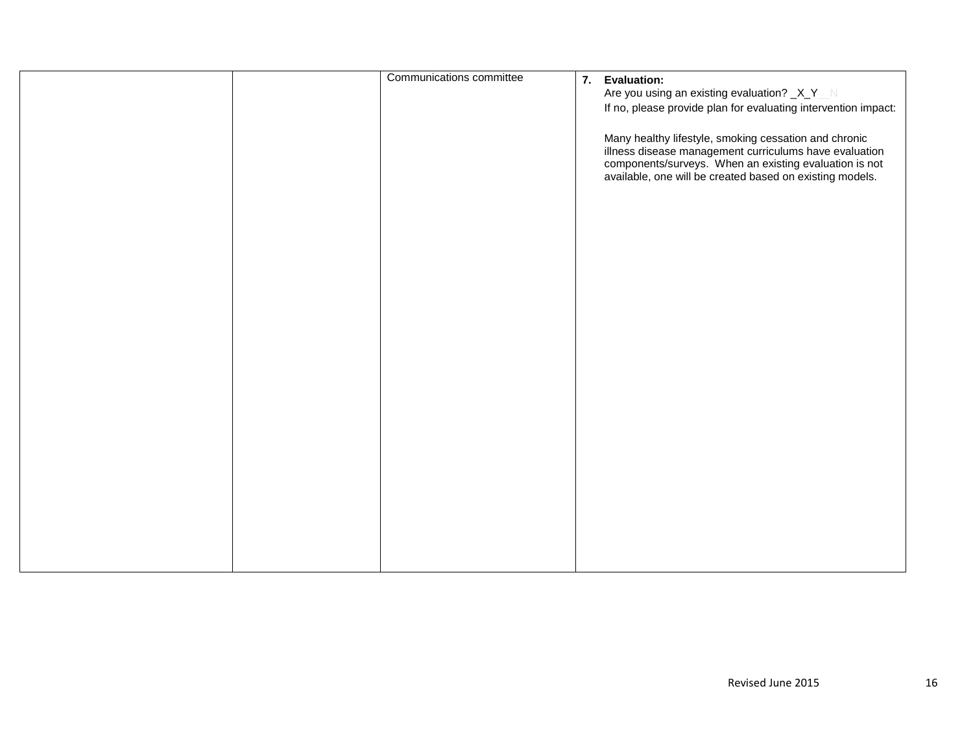|  | Communications committee | 7. Evaluation:<br>Are you using an existing evaluation? _X_Y_N<br>If no, please provide plan for evaluating intervention impact:<br>Many healthy lifestyle, smoking cessation and chronic<br>illness disease management curriculums have evaluation<br>components/surveys. When an existing evaluation is not<br>available, one will be created based on existing models. |
|--|--------------------------|---------------------------------------------------------------------------------------------------------------------------------------------------------------------------------------------------------------------------------------------------------------------------------------------------------------------------------------------------------------------------|
|  |                          |                                                                                                                                                                                                                                                                                                                                                                           |
|  |                          |                                                                                                                                                                                                                                                                                                                                                                           |
|  |                          |                                                                                                                                                                                                                                                                                                                                                                           |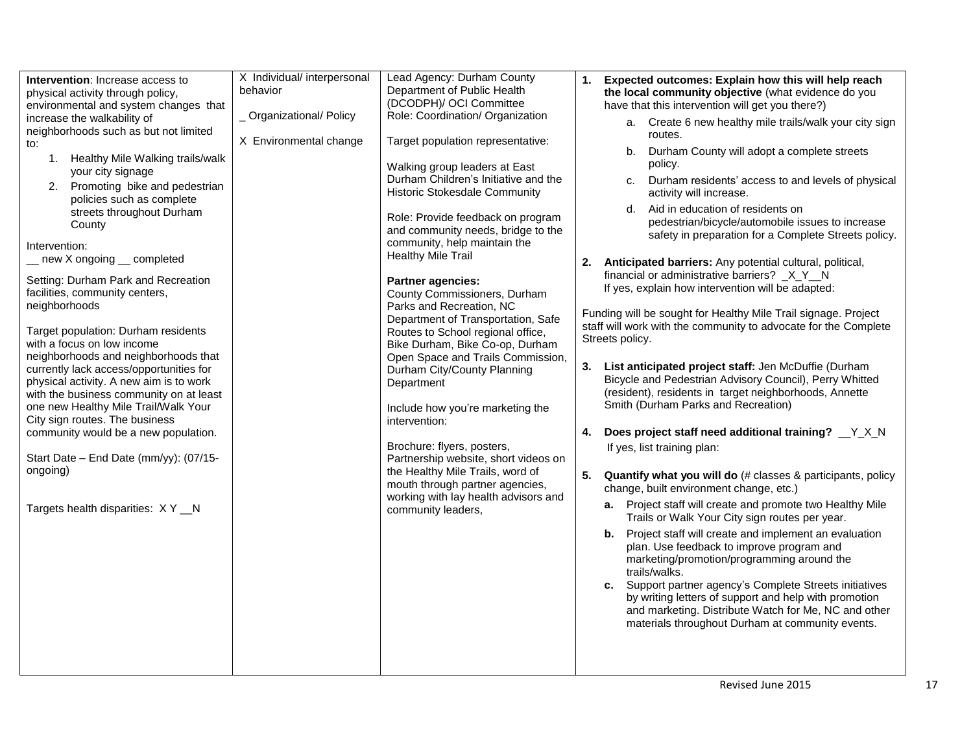| Intervention: Increase access to                                                | X Individual/ interpersonal | Lead Agency: Durham County                        | Expected outcomes: Explain how this will help reach<br>1.                                                             |
|---------------------------------------------------------------------------------|-----------------------------|---------------------------------------------------|-----------------------------------------------------------------------------------------------------------------------|
| physical activity through policy,                                               | behavior                    | Department of Public Health                       | the local community objective (what evidence do you                                                                   |
| environmental and system changes that                                           |                             | (DCODPH)/ OCI Committee                           | have that this intervention will get you there?)                                                                      |
| increase the walkability of                                                     | _ Organizational/ Policy    | Role: Coordination/ Organization                  | a. Create 6 new healthy mile trails/walk your city sign                                                               |
| neighborhoods such as but not limited                                           |                             |                                                   | routes.                                                                                                               |
| to:                                                                             | X Environmental change      | Target population representative:                 | Durham County will adopt a complete streets<br>b.                                                                     |
| 1. Healthy Mile Walking trails/walk                                             |                             | Walking group leaders at East                     | policy.                                                                                                               |
| your city signage                                                               |                             | Durham Children's Initiative and the              | Durham residents' access to and levels of physical<br>C.                                                              |
| 2. Promoting bike and pedestrian                                                |                             | Historic Stokesdale Community                     | activity will increase.                                                                                               |
| policies such as complete                                                       |                             |                                                   | d. Aid in education of residents on                                                                                   |
| streets throughout Durham                                                       |                             | Role: Provide feedback on program                 | pedestrian/bicycle/automobile issues to increase                                                                      |
| County                                                                          |                             | and community needs, bridge to the                | safety in preparation for a Complete Streets policy.                                                                  |
| Intervention:                                                                   |                             | community, help maintain the                      |                                                                                                                       |
| _ new X ongoing _ completed                                                     |                             | <b>Healthy Mile Trail</b>                         | 2. Anticipated barriers: Any potential cultural, political,                                                           |
| Setting: Durham Park and Recreation                                             |                             | <b>Partner agencies:</b>                          | financial or administrative barriers? X Y N                                                                           |
| facilities, community centers,                                                  |                             | County Commissioners, Durham                      | If yes, explain how intervention will be adapted:                                                                     |
| neighborhoods                                                                   |                             | Parks and Recreation, NC                          |                                                                                                                       |
|                                                                                 |                             | Department of Transportation, Safe                | Funding will be sought for Healthy Mile Trail signage. Project                                                        |
| Target population: Durham residents                                             |                             | Routes to School regional office,                 | staff will work with the community to advocate for the Complete                                                       |
| with a focus on low income                                                      |                             | Bike Durham, Bike Co-op, Durham                   | Streets policy.                                                                                                       |
| neighborhoods and neighborhoods that                                            |                             | Open Space and Trails Commission,                 |                                                                                                                       |
| currently lack access/opportunities for                                         |                             | Durham City/County Planning                       | List anticipated project staff: Jen McDuffie (Durham<br>3.<br>Bicycle and Pedestrian Advisory Council), Perry Whitted |
| physical activity. A new aim is to work                                         |                             | Department                                        | (resident), residents in target neighborhoods, Annette                                                                |
| with the business community on at least<br>one new Healthy Mile Trail/Walk Your |                             |                                                   | Smith (Durham Parks and Recreation)                                                                                   |
| City sign routes. The business                                                  |                             | Include how you're marketing the<br>intervention: |                                                                                                                       |
| community would be a new population.                                            |                             |                                                   | Does project staff need additional training? _Y_X_N<br>4.                                                             |
|                                                                                 |                             | Brochure: flyers, posters,                        | If yes, list training plan:                                                                                           |
| Start Date - End Date (mm/yy): (07/15-                                          |                             | Partnership website, short videos on              |                                                                                                                       |
| ongoing)                                                                        |                             | the Healthy Mile Trails, word of                  | 5.<br>Quantify what you will do (# classes & participants, policy                                                     |
|                                                                                 |                             | mouth through partner agencies,                   | change, built environment change, etc.)                                                                               |
|                                                                                 |                             | working with lay health advisors and              | a. Project staff will create and promote two Healthy Mile                                                             |
| Targets health disparities: XY_N                                                |                             | community leaders,                                | Trails or Walk Your City sign routes per year.                                                                        |
|                                                                                 |                             |                                                   | <b>b.</b> Project staff will create and implement an evaluation                                                       |
|                                                                                 |                             |                                                   | plan. Use feedback to improve program and                                                                             |
|                                                                                 |                             |                                                   | marketing/promotion/programming around the                                                                            |
|                                                                                 |                             |                                                   | trails/walks.                                                                                                         |
|                                                                                 |                             |                                                   | c. Support partner agency's Complete Streets initiatives                                                              |
|                                                                                 |                             |                                                   | by writing letters of support and help with promotion<br>and marketing. Distribute Watch for Me, NC and other         |
|                                                                                 |                             |                                                   | materials throughout Durham at community events.                                                                      |
|                                                                                 |                             |                                                   |                                                                                                                       |
|                                                                                 |                             |                                                   |                                                                                                                       |
|                                                                                 |                             |                                                   |                                                                                                                       |